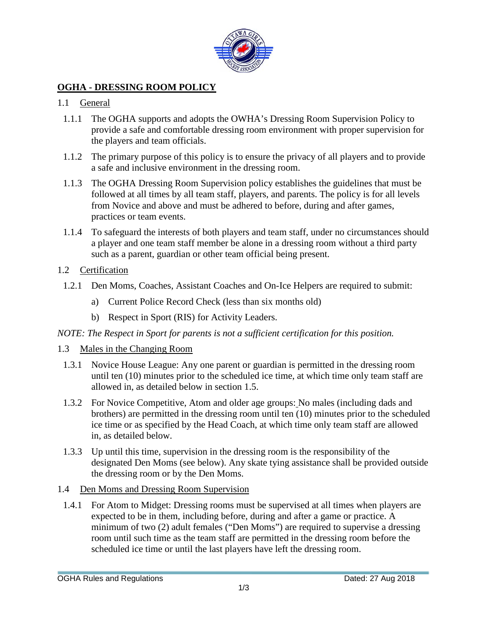

# **OGHA - DRESSING ROOM POLICY**

## 1.1 General

- 1.1.1 The OGHA supports and adopts the OWHA's Dressing Room Supervision Policy to provide a safe and comfortable dressing room environment with proper supervision for the players and team officials.
- 1.1.2 The primary purpose of this policy is to ensure the privacy of all players and to provide a safe and inclusive environment in the dressing room.
- 1.1.3 The OGHA Dressing Room Supervision policy establishes the guidelines that must be followed at all times by all team staff, players, and parents. The policy is for all levels from Novice and above and must be adhered to before, during and after games, practices or team events.
- 1.1.4 To safeguard the interests of both players and team staff, under no circumstances should a player and one team staff member be alone in a dressing room without a third party such as a parent, guardian or other team official being present.

## 1.2 Certification

- 1.2.1 Den Moms, Coaches, Assistant Coaches and On-Ice Helpers are required to submit:
	- a) Current Police Record Check (less than six months old)
	- b) Respect in Sport (RIS) for Activity Leaders.

*NOTE: The Respect in Sport for parents is not a sufficient certification for this position.*

- 1.3 Males in the Changing Room
	- 1.3.1 Novice House League: Any one parent or guardian is permitted in the dressing room until ten (10) minutes prior to the scheduled ice time, at which time only team staff are allowed in, as detailed below in section 1.5.
	- 1.3.2 For Novice Competitive, Atom and older age groups: No males (including dads and brothers) are permitted in the dressing room until ten (10) minutes prior to the scheduled ice time or as specified by the Head Coach, at which time only team staff are allowed in, as detailed below.
	- 1.3.3 Up until this time, supervision in the dressing room is the responsibility of the designated Den Moms (see below). Any skate tying assistance shall be provided outside the dressing room or by the Den Moms.

## 1.4 Den Moms and Dressing Room Supervision

1.4.1 For Atom to Midget: Dressing rooms must be supervised at all times when players are expected to be in them, including before, during and after a game or practice. A minimum of two (2) adult females ("Den Moms") are required to supervise a dressing room until such time as the team staff are permitted in the dressing room before the scheduled ice time or until the last players have left the dressing room.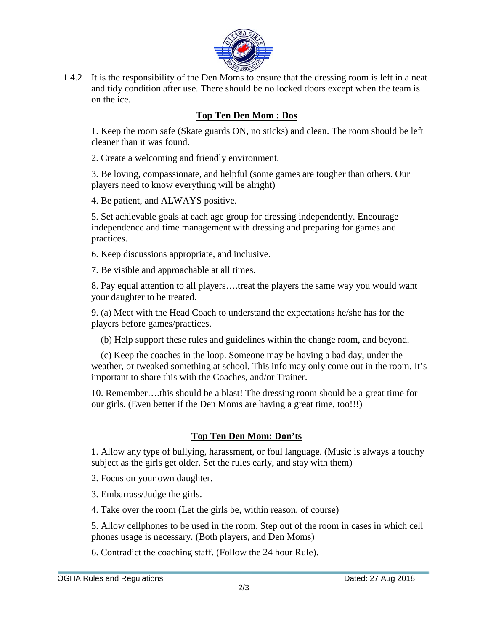

1.4.2 It is the responsibility of the Den Moms to ensure that the dressing room is left in a neat and tidy condition after use. There should be no locked doors except when the team is on the ice.

# **Top Ten Den Mom : Dos**

1. Keep the room safe (Skate guards ON, no sticks) and clean. The room should be left cleaner than it was found.

2. Create a welcoming and friendly environment.

3. Be loving, compassionate, and helpful (some games are tougher than others. Our players need to know everything will be alright)

4. Be patient, and ALWAYS positive.

5. Set achievable goals at each age group for dressing independently. Encourage independence and time management with dressing and preparing for games and practices.

6. Keep discussions appropriate, and inclusive.

7. Be visible and approachable at all times.

8. Pay equal attention to all players….treat the players the same way you would want your daughter to be treated.

9. (a) Meet with the Head Coach to understand the expectations he/she has for the players before games/practices.

(b) Help support these rules and guidelines within the change room, and beyond.

 (c) Keep the coaches in the loop. Someone may be having a bad day, under the weather, or tweaked something at school. This info may only come out in the room. It's important to share this with the Coaches, and/or Trainer.

10. Remember….this should be a blast! The dressing room should be a great time for our girls. (Even better if the Den Moms are having a great time, too!!!)

## **Top Ten Den Mom: Don'ts**

1. Allow any type of bullying, harassment, or foul language. (Music is always a touchy subject as the girls get older. Set the rules early, and stay with them)

2. Focus on your own daughter.

3. Embarrass/Judge the girls.

4. Take over the room (Let the girls be, within reason, of course)

5. Allow cellphones to be used in the room. Step out of the room in cases in which cell phones usage is necessary. (Both players, and Den Moms)

6. Contradict the coaching staff. (Follow the 24 hour Rule).